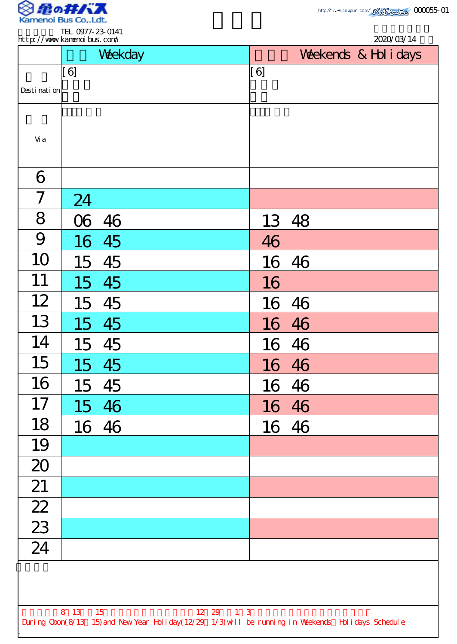

|                 |          | Weekday |           | Weekends & Hol i days |  |  |
|-----------------|----------|---------|-----------|-----------------------|--|--|
|                 | [6]      |         | [6]       |                       |  |  |
| Desti nati on   |          |         |           |                       |  |  |
| Vi a            |          |         |           |                       |  |  |
| 6               |          |         |           |                       |  |  |
| $\overline{7}$  | 24       |         |           |                       |  |  |
| 8               | $\infty$ | 46      |           | 13 48                 |  |  |
| 9               |          | 16 45   | 46        |                       |  |  |
| 10              | 15       | 45      |           | 16 46                 |  |  |
| 11              | 15       | 45      | 16        |                       |  |  |
| 12              | 15       | 45      |           | $\frac{16}{16}$ 46    |  |  |
| 13              |          | 15 45   |           |                       |  |  |
| 14              |          | 15 45   |           | 16 46                 |  |  |
| 15              |          | 15 45   |           | 16 46                 |  |  |
| 16              |          | 15 45   |           | 16 46                 |  |  |
| 17              |          | 15 46   |           | 16 46                 |  |  |
| 18              |          | 16 46   |           | 16 46                 |  |  |
| 19              |          |         |           |                       |  |  |
| 20              |          |         |           |                       |  |  |
| 21              |          |         |           |                       |  |  |
| $\overline{22}$ |          |         |           |                       |  |  |
| $\overline{23}$ |          |         |           |                       |  |  |
| $\overline{24}$ |          |         |           |                       |  |  |
|                 |          |         |           |                       |  |  |
|                 | 8 13 15  |         | 12 29 1 3 |                       |  |  |